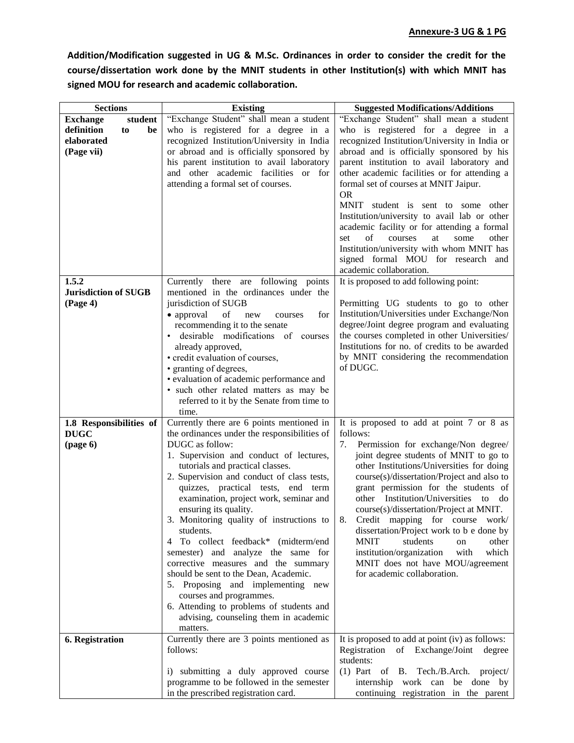**Addition/Modification suggested in UG & M.Sc. Ordinances in order to consider the credit for the course/dissertation work done by the MNIT students in other Institution(s) with which MNIT has signed MOU for research and academic collaboration.**

| <b>Sections</b>             | <b>Existing</b>                                                              | <b>Suggested Modifications/Additions</b>                                   |
|-----------------------------|------------------------------------------------------------------------------|----------------------------------------------------------------------------|
| <b>Exchange</b><br>student  | "Exchange Student" shall mean a student                                      | "Exchange Student" shall mean a student                                    |
| definition<br>be<br>to      | who is registered for a degree in a                                          | who is registered for a degree in a                                        |
| elaborated                  | recognized Institution/University in India                                   | recognized Institution/University in India or                              |
| (Page vii)                  | or abroad and is officially sponsored by                                     | abroad and is officially sponsored by his                                  |
|                             | his parent institution to avail laboratory                                   | parent institution to avail laboratory and                                 |
|                             | and other academic facilities or for                                         | other academic facilities or for attending a                               |
|                             | attending a formal set of courses.                                           | formal set of courses at MNIT Jaipur.                                      |
|                             |                                                                              | <b>OR</b>                                                                  |
|                             |                                                                              | MNIT student is sent to some other                                         |
|                             |                                                                              | Institution/university to avail lab or other                               |
|                             |                                                                              | academic facility or for attending a formal                                |
|                             |                                                                              | of<br>other<br>courses<br>at<br>some<br>set                                |
|                             |                                                                              | Institution/university with whom MNIT has                                  |
|                             |                                                                              | signed formal MOU for research and                                         |
|                             |                                                                              | academic collaboration.                                                    |
| 1.5.2                       | there are following points<br>Currently                                      | It is proposed to add following point:                                     |
| <b>Jurisdiction of SUGB</b> | mentioned in the ordinances under the                                        |                                                                            |
| (Page 4)                    | jurisdiction of SUGB                                                         | Permitting UG students to go to other                                      |
|                             | of<br>• approval<br>for<br>new<br>courses                                    | Institution/Universities under Exchange/Non                                |
|                             | recommending it to the senate                                                | degree/Joint degree program and evaluating                                 |
|                             | desirable modifications of courses                                           | the courses completed in other Universities/                               |
|                             | already approved,                                                            | Institutions for no. of credits to be awarded                              |
|                             | • credit evaluation of courses,                                              | by MNIT considering the recommendation                                     |
|                             | • granting of degrees,                                                       | of DUGC.                                                                   |
|                             | · evaluation of academic performance and                                     |                                                                            |
|                             | • such other related matters as may be                                       |                                                                            |
|                             | referred to it by the Senate from time to                                    |                                                                            |
|                             | time.                                                                        |                                                                            |
| 1.8 Responsibilities of     | Currently there are 6 points mentioned in                                    | It is proposed to add at point 7 or 8 as                                   |
| <b>DUGC</b>                 | the ordinances under the responsibilities of                                 | follows:                                                                   |
| (page $6$ )                 | DUGC as follow:                                                              | 7.<br>Permission for exchange/Non degree/                                  |
|                             | 1. Supervision and conduct of lectures,                                      | joint degree students of MNIT to go to                                     |
|                             | tutorials and practical classes.                                             | other Institutions/Universities for doing                                  |
|                             | 2. Supervision and conduct of class tests,                                   | course(s)/dissertation/Project and also to                                 |
|                             | quizzes, practical tests, end term                                           | grant permission for the students of                                       |
|                             | examination, project work, seminar and                                       | other Institution/Universities to do                                       |
|                             | ensuring its quality.<br>3. Monitoring quality of instructions to $\vert$ 8. | course(s)/dissertation/Project at MNIT.<br>Credit mapping for course work/ |
|                             | students.                                                                    | dissertation/Project work to b e done by                                   |
|                             | 4 To collect feedback* (midterm/end                                          | <b>MNIT</b><br>students<br>other<br>on                                     |
|                             | semester) and analyze the same for                                           | institution/organization<br>which<br>with                                  |
|                             | corrective measures and the summary                                          | MNIT does not have MOU/agreement                                           |
|                             | should be sent to the Dean, Academic.                                        | for academic collaboration.                                                |
|                             | 5. Proposing and implementing new                                            |                                                                            |
|                             | courses and programmes.                                                      |                                                                            |
|                             | 6. Attending to problems of students and                                     |                                                                            |
|                             | advising, counseling them in academic                                        |                                                                            |
|                             | matters.                                                                     |                                                                            |
| 6. Registration             | Currently there are 3 points mentioned as                                    | It is proposed to add at point (iv) as follows:                            |
|                             | follows:                                                                     | Registration of Exchange/Joint degree                                      |
|                             |                                                                              | students:                                                                  |
|                             | i) submitting a duly approved course                                         | (1) Part of B. Tech./B.Arch. project/                                      |
|                             | programme to be followed in the semester                                     | internship work can be done by                                             |
|                             | in the prescribed registration card.                                         | continuing registration in the parent                                      |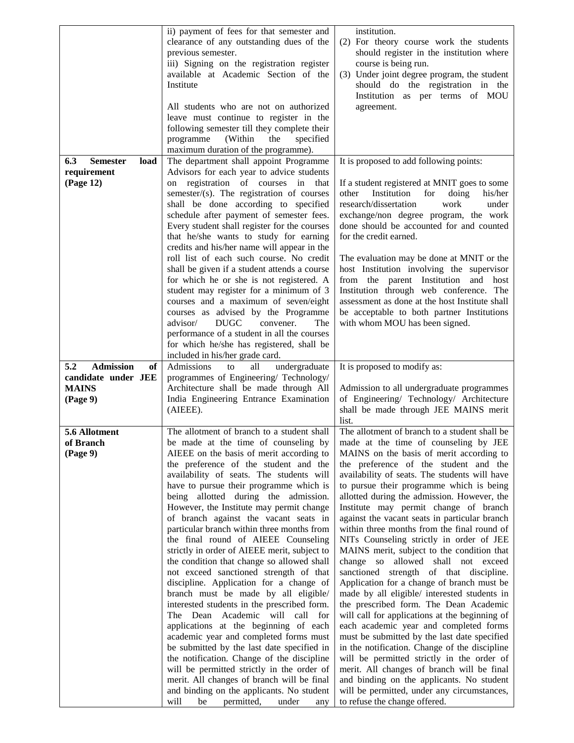|                                | ii) payment of fees for that semester and                                             | institution.                                                                      |
|--------------------------------|---------------------------------------------------------------------------------------|-----------------------------------------------------------------------------------|
|                                | clearance of any outstanding dues of the                                              | (2) For theory course work the students                                           |
|                                | previous semester.                                                                    | should register in the institution where                                          |
|                                | iii) Signing on the registration register                                             | course is being run.                                                              |
|                                | available at Academic Section of the                                                  | (3) Under joint degree program, the student                                       |
|                                | Institute                                                                             | should do the registration in the                                                 |
|                                |                                                                                       | Institution as per terms of MOU                                                   |
|                                | All students who are not on authorized                                                | agreement.                                                                        |
|                                | leave must continue to register in the                                                |                                                                                   |
|                                | following semester till they complete their                                           |                                                                                   |
|                                | programme<br>(Within<br>specified<br>the                                              |                                                                                   |
|                                | maximum duration of the programme).                                                   |                                                                                   |
| <b>Semester</b><br>6.3<br>load | The department shall appoint Programme                                                | It is proposed to add following points:                                           |
| requirement                    | Advisors for each year to advice students                                             |                                                                                   |
| (Page 12)                      | registration of courses in<br>that<br>on                                              | If a student registered at MNIT goes to some                                      |
|                                | semester/(s). The registration of courses                                             | Institution<br>for<br>doing<br>his/her<br>other                                   |
|                                | shall be done according to specified                                                  | research/dissertation<br>work<br>under                                            |
|                                | schedule after payment of semester fees.                                              | exchange/non degree program, the work                                             |
|                                | Every student shall register for the courses                                          | done should be accounted for and counted                                          |
|                                | that he/she wants to study for earning                                                | for the credit earned.                                                            |
|                                | credits and his/her name will appear in the                                           |                                                                                   |
|                                | roll list of each such course. No credit                                              | The evaluation may be done at MNIT or the                                         |
|                                | shall be given if a student attends a course                                          | host Institution involving the supervisor                                         |
|                                | for which he or she is not registered. A                                              | from the parent Institution and host                                              |
|                                | student may register for a minimum of 3                                               | Institution through web conference. The                                           |
|                                | courses and a maximum of seven/eight                                                  | assessment as done at the host Institute shall                                    |
|                                | courses as advised by the Programme                                                   | be acceptable to both partner Institutions                                        |
|                                | <b>DUGC</b><br>convener.<br>advisor/<br>The                                           | with whom MOU has been signed.                                                    |
|                                | performance of a student in all the courses                                           |                                                                                   |
|                                | for which he/she has registered, shall be                                             |                                                                                   |
| 5.2<br><b>Admission</b><br>of  | included in his/her grade card.<br>Admissions<br>all<br>undergraduate<br>to           | It is proposed to modify as:                                                      |
| candidate under JEE            | programmes of Engineering/ Technology/                                                |                                                                                   |
| <b>MAINS</b>                   | Architecture shall be made through All                                                | Admission to all undergraduate programmes                                         |
| (Page 9)                       | India Engineering Entrance Examination                                                | of Engineering/ Technology/ Architecture                                          |
|                                | (AIEEE).                                                                              | shall be made through JEE MAINS merit                                             |
|                                |                                                                                       |                                                                                   |
|                                |                                                                                       | list.                                                                             |
|                                |                                                                                       |                                                                                   |
| 5.6 Allotment                  | The allotment of branch to a student shall                                            | The allotment of branch to a student shall be                                     |
| of Branch                      | be made at the time of counseling by                                                  | made at the time of counseling by JEE                                             |
| (Page 9)                       | AIEEE on the basis of merit according to<br>the preference of the student and the     | MAINS on the basis of merit according to<br>the preference of the student and the |
|                                | availability of seats. The students will                                              | availability of seats. The students will have                                     |
|                                | have to pursue their programme which is                                               | to pursue their programme which is being                                          |
|                                | being allotted during the admission.                                                  | allotted during the admission. However, the                                       |
|                                | However, the Institute may permit change                                              | Institute may permit change of branch                                             |
|                                | of branch against the vacant seats in                                                 | against the vacant seats in particular branch                                     |
|                                | particular branch within three months from                                            | within three months from the final round of                                       |
|                                | the final round of AIEEE Counseling                                                   | NITs Counseling strictly in order of JEE                                          |
|                                | strictly in order of AIEEE merit, subject to                                          | MAINS merit, subject to the condition that                                        |
|                                | the condition that change so allowed shall                                            | allowed shall not exceed<br>change so                                             |
|                                | not exceed sanctioned strength of that                                                | sanctioned strength of that discipline.                                           |
|                                | discipline. Application for a change of                                               | Application for a change of branch must be                                        |
|                                | branch must be made by all eligible/                                                  | made by all eligible/ interested students in                                      |
|                                | interested students in the prescribed form.                                           | the prescribed form. The Dean Academic                                            |
|                                | The Dean Academic will call for                                                       | will call for applications at the beginning of                                    |
|                                | applications at the beginning of each                                                 | each academic year and completed forms                                            |
|                                | academic year and completed forms must                                                | must be submitted by the last date specified                                      |
|                                | be submitted by the last date specified in                                            | in the notification. Change of the discipline                                     |
|                                | the notification. Change of the discipline                                            | will be permitted strictly in the order of                                        |
|                                | will be permitted strictly in the order of                                            | merit. All changes of branch will be final                                        |
|                                | merit. All changes of branch will be final                                            | and binding on the applicants. No student                                         |
|                                | and binding on the applicants. No student<br>permitted,<br>will<br>under<br>be<br>any | will be permitted, under any circumstances,<br>to refuse the change offered.      |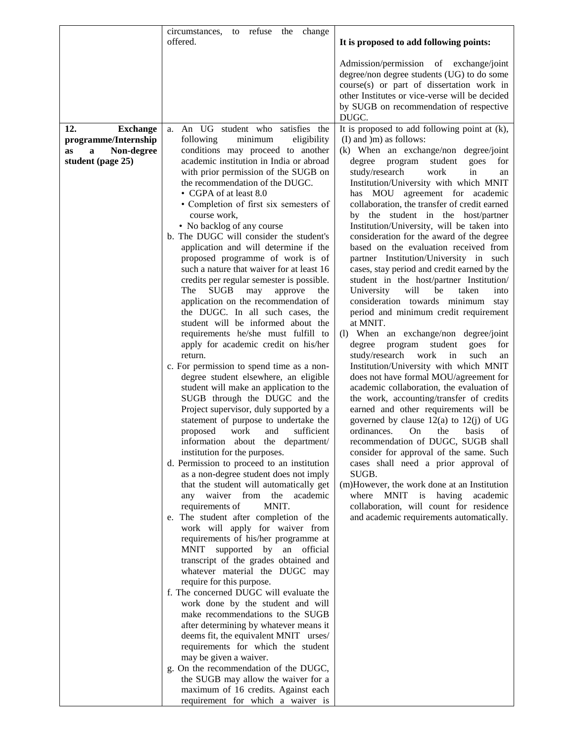|                                                                                              | circumstances,<br>to refuse the change<br>offered.                                                                                                                                                                                                                                                                                                                                                                                                                                                                                                                                                                                                                                                                                                                                                                                                                                                                                                                                                                                                                                                                                                                                                                                                                                                                                                                                                                                                                                                                                                                                                                                                                                                                                                                                                                                                                                                                                                                                                                                                                        | It is proposed to add following points:                                                                                                                                                                                                                                                                                                                                                                                                                                                                                                                                                                                                                                                                                                                                                                                                                                                                                                                                                                                                                                                                                                                                                                                                                                                                                                                                                                                                                                                                                                                                           |
|----------------------------------------------------------------------------------------------|---------------------------------------------------------------------------------------------------------------------------------------------------------------------------------------------------------------------------------------------------------------------------------------------------------------------------------------------------------------------------------------------------------------------------------------------------------------------------------------------------------------------------------------------------------------------------------------------------------------------------------------------------------------------------------------------------------------------------------------------------------------------------------------------------------------------------------------------------------------------------------------------------------------------------------------------------------------------------------------------------------------------------------------------------------------------------------------------------------------------------------------------------------------------------------------------------------------------------------------------------------------------------------------------------------------------------------------------------------------------------------------------------------------------------------------------------------------------------------------------------------------------------------------------------------------------------------------------------------------------------------------------------------------------------------------------------------------------------------------------------------------------------------------------------------------------------------------------------------------------------------------------------------------------------------------------------------------------------------------------------------------------------------------------------------------------------|-----------------------------------------------------------------------------------------------------------------------------------------------------------------------------------------------------------------------------------------------------------------------------------------------------------------------------------------------------------------------------------------------------------------------------------------------------------------------------------------------------------------------------------------------------------------------------------------------------------------------------------------------------------------------------------------------------------------------------------------------------------------------------------------------------------------------------------------------------------------------------------------------------------------------------------------------------------------------------------------------------------------------------------------------------------------------------------------------------------------------------------------------------------------------------------------------------------------------------------------------------------------------------------------------------------------------------------------------------------------------------------------------------------------------------------------------------------------------------------------------------------------------------------------------------------------------------------|
|                                                                                              |                                                                                                                                                                                                                                                                                                                                                                                                                                                                                                                                                                                                                                                                                                                                                                                                                                                                                                                                                                                                                                                                                                                                                                                                                                                                                                                                                                                                                                                                                                                                                                                                                                                                                                                                                                                                                                                                                                                                                                                                                                                                           | Admission/permission of exchange/joint<br>degree/non degree students (UG) to do some<br>course(s) or part of dissertation work in<br>other Institutes or vice-verse will be decided<br>by SUGB on recommendation of respective<br>DUGC.                                                                                                                                                                                                                                                                                                                                                                                                                                                                                                                                                                                                                                                                                                                                                                                                                                                                                                                                                                                                                                                                                                                                                                                                                                                                                                                                           |
| 12.<br><b>Exchange</b><br>programme/Internship<br>Non-degree<br>as<br>a<br>student (page 25) | a. An UG student who satisfies the<br>minimum<br>following<br>eligibility<br>conditions may proceed to another<br>academic institution in India or abroad<br>with prior permission of the SUGB on<br>the recommendation of the DUGC.<br>• CGPA of at least 8.0<br>• Completion of first six semesters of<br>course work,<br>• No backlog of any course<br>b. The DUGC will consider the student's<br>application and will determine if the<br>proposed programme of work is of<br>such a nature that waiver for at least 16<br>credits per regular semester is possible.<br><b>SUGB</b><br>The<br>may<br>approve<br>the<br>application on the recommendation of<br>the DUGC. In all such cases, the<br>student will be informed about the<br>requirements he/she must fulfill to<br>apply for academic credit on his/her<br>return.<br>c. For permission to spend time as a non-<br>degree student elsewhere, an eligible<br>student will make an application to the<br>SUGB through the DUGC and the<br>Project supervisor, duly supported by a<br>statement of purpose to undertake the<br>proposed<br>work<br>and<br>sufficient<br>information about the department/<br>institution for the purposes.<br>d. Permission to proceed to an institution<br>as a non-degree student does not imply<br>that the student will automatically get<br>any waiver from<br>the<br>academic<br>requirements of<br>MNIT.<br>e. The student after completion of the<br>work will apply for waiver from<br>requirements of his/her programme at<br>MNIT supported by an official<br>transcript of the grades obtained and<br>whatever material the DUGC may<br>require for this purpose.<br>f. The concerned DUGC will evaluate the<br>work done by the student and will<br>make recommendations to the SUGB<br>after determining by whatever means it<br>deems fit, the equivalent MNIT urses/<br>requirements for which the student<br>may be given a waiver.<br>g. On the recommendation of the DUGC,<br>the SUGB may allow the waiver for a<br>maximum of 16 credits. Against each | It is proposed to add following point at $(k)$ ,<br>$(I)$ and $)m$ as follows:<br>(k) When an exchange/non degree/joint<br>degree<br>program<br>student<br>for<br>goes<br>study/research<br>work<br>in<br>an<br>Institution/University with which MNIT<br>has MOU agreement for academic<br>collaboration, the transfer of credit earned<br>by the student in the host/partner<br>Institution/University, will be taken into<br>consideration for the award of the degree<br>based on the evaluation received from<br>partner Institution/University in such<br>cases, stay period and credit earned by the<br>student in the host/partner Institution/<br>will<br>taken<br>University<br>be<br>into<br>consideration towards minimum stay<br>period and minimum credit requirement<br>at MNIT.<br>(1) When an exchange/non degree/joint<br>student<br>degree<br>program<br>goes<br>for<br>study/research<br>work<br>in<br>such<br>an<br>Institution/University with which MNIT<br>does not have formal MOU/agreement for<br>academic collaboration, the evaluation of<br>the work, accounting/transfer of credits<br>earned and other requirements will be<br>governed by clause $12(a)$ to $12(j)$ of UG<br>On<br>ordinances.<br>the<br>basis<br>οf<br>recommendation of DUGC, SUGB shall<br>consider for approval of the same. Such<br>cases shall need a prior approval of<br>SUGB.<br>(m)However, the work done at an Institution<br>where<br><b>MNIT</b><br>is<br>having<br>academic<br>collaboration, will count for residence<br>and academic requirements automatically. |
|                                                                                              | requirement for which a waiver is                                                                                                                                                                                                                                                                                                                                                                                                                                                                                                                                                                                                                                                                                                                                                                                                                                                                                                                                                                                                                                                                                                                                                                                                                                                                                                                                                                                                                                                                                                                                                                                                                                                                                                                                                                                                                                                                                                                                                                                                                                         |                                                                                                                                                                                                                                                                                                                                                                                                                                                                                                                                                                                                                                                                                                                                                                                                                                                                                                                                                                                                                                                                                                                                                                                                                                                                                                                                                                                                                                                                                                                                                                                   |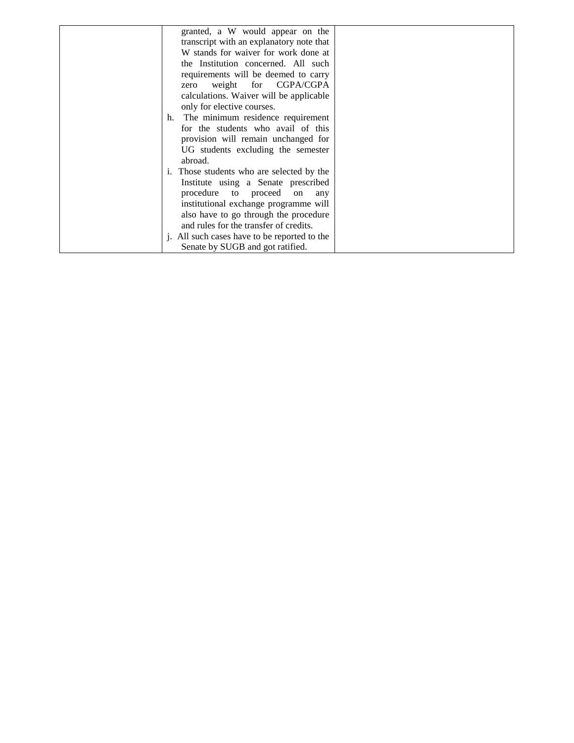| granted, a W would appear on the             |  |
|----------------------------------------------|--|
| transcript with an explanatory note that     |  |
| W stands for waiver for work done at         |  |
| the Institution concerned. All such          |  |
| requirements will be deemed to carry         |  |
| zero weight for CGPA/CGPA                    |  |
| calculations. Waiver will be applicable      |  |
| only for elective courses.                   |  |
| h. The minimum residence requirement         |  |
| for the students who avail of this           |  |
| provision will remain unchanged for          |  |
| UG students excluding the semester           |  |
| abroad.                                      |  |
| i. Those students who are selected by the    |  |
| Institute using a Senate prescribed          |  |
| procedure to proceed<br>on<br>any            |  |
| institutional exchange programme will        |  |
| also have to go through the procedure        |  |
| and rules for the transfer of credits.       |  |
| j. All such cases have to be reported to the |  |
| Senate by SUGB and got ratified.             |  |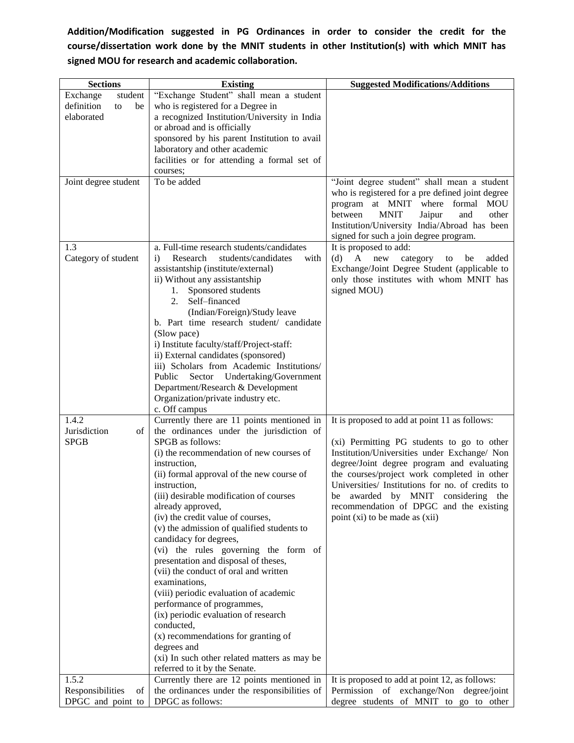## **Addition/Modification suggested in PG Ordinances in order to consider the credit for the course/dissertation work done by the MNIT students in other Institution(s) with which MNIT has signed MOU for research and academic collaboration.**

| <b>Sections</b>        | <b>Existing</b>                                         | <b>Suggested Modifications/Additions</b>         |
|------------------------|---------------------------------------------------------|--------------------------------------------------|
| Exchange<br>student    | "Exchange Student" shall mean a student                 |                                                  |
| definition<br>be<br>to | who is registered for a Degree in                       |                                                  |
| elaborated             | a recognized Institution/University in India            |                                                  |
|                        | or abroad and is officially                             |                                                  |
|                        | sponsored by his parent Institution to avail            |                                                  |
|                        | laboratory and other academic                           |                                                  |
|                        | facilities or for attending a formal set of             |                                                  |
|                        | courses;                                                |                                                  |
| Joint degree student   | To be added                                             | "Joint degree student" shall mean a student      |
|                        |                                                         | who is registered for a pre defined joint degree |
|                        |                                                         | program at MNIT where formal<br><b>MOU</b>       |
|                        |                                                         | <b>MNIT</b><br>between<br>Jaipur<br>and<br>other |
|                        |                                                         | Institution/University India/Abroad has been     |
|                        |                                                         | signed for such a join degree program.           |
| 1.3                    | a. Full-time research students/candidates               | It is proposed to add:                           |
| Category of student    | Research<br>students/candidates<br>with<br>$\mathbf{i}$ | (d)<br>A<br>added<br>new<br>category<br>be<br>to |
|                        | assistantship (institute/external)                      | Exchange/Joint Degree Student (applicable to     |
|                        | ii) Without any assistantship                           | only those institutes with whom MNIT has         |
|                        | Sponsored students<br>1.                                | signed MOU)                                      |
|                        | 2.<br>Self-financed                                     |                                                  |
|                        | (Indian/Foreign)/Study leave                            |                                                  |
|                        | b. Part time research student/ candidate                |                                                  |
|                        | (Slow pace)                                             |                                                  |
|                        | i) Institute faculty/staff/Project-staff:               |                                                  |
|                        | ii) External candidates (sponsored)                     |                                                  |
|                        | iii) Scholars from Academic Institutions/               |                                                  |
|                        | Sector Undertaking/Government<br>Public                 |                                                  |
|                        | Department/Research & Development                       |                                                  |
|                        | Organization/private industry etc.                      |                                                  |
|                        | c. Off campus                                           |                                                  |
| 1.4.2                  | Currently there are 11 points mentioned in              | It is proposed to add at point 11 as follows:    |
| Jurisdiction<br>οf     | the ordinances under the jurisdiction of                |                                                  |
| <b>SPGB</b>            | SPGB as follows:                                        | (xi) Permitting PG students to go to other       |
|                        | (i) the recommendation of new courses of                | Institution/Universities under Exchange/ Non     |
|                        | instruction,                                            | degree/Joint degree program and evaluating       |
|                        | (ii) formal approval of the new course of               | the courses/project work completed in other      |
|                        | instruction,                                            | Universities/ Institutions for no. of credits to |
|                        | (iii) desirable modification of courses                 | be awarded by MNIT considering the               |
|                        | already approved,                                       | recommendation of DPGC and the existing          |
|                        | (iv) the credit value of courses,                       | point (xi) to be made as (xii)                   |
|                        | (v) the admission of qualified students to              |                                                  |
|                        | candidacy for degrees,                                  |                                                  |
|                        | (vi) the rules governing the form of                    |                                                  |
|                        | presentation and disposal of theses,                    |                                                  |
|                        | (vii) the conduct of oral and written                   |                                                  |
|                        | examinations,                                           |                                                  |
|                        | (viii) periodic evaluation of academic                  |                                                  |
|                        | performance of programmes,                              |                                                  |
|                        | (ix) periodic evaluation of research                    |                                                  |
|                        | conducted,                                              |                                                  |
|                        | (x) recommendations for granting of                     |                                                  |
|                        | degrees and                                             |                                                  |
|                        | (xi) In such other related matters as may be            |                                                  |
|                        | referred to it by the Senate.                           |                                                  |
| 1.5.2                  | Currently there are 12 points mentioned in              | It is proposed to add at point 12, as follows:   |
| Responsibilities<br>of | the ordinances under the responsibilities of            | Permission of exchange/Non degree/joint          |
| DPGC and point to      | DPGC as follows:                                        | degree students of MNIT to go to other           |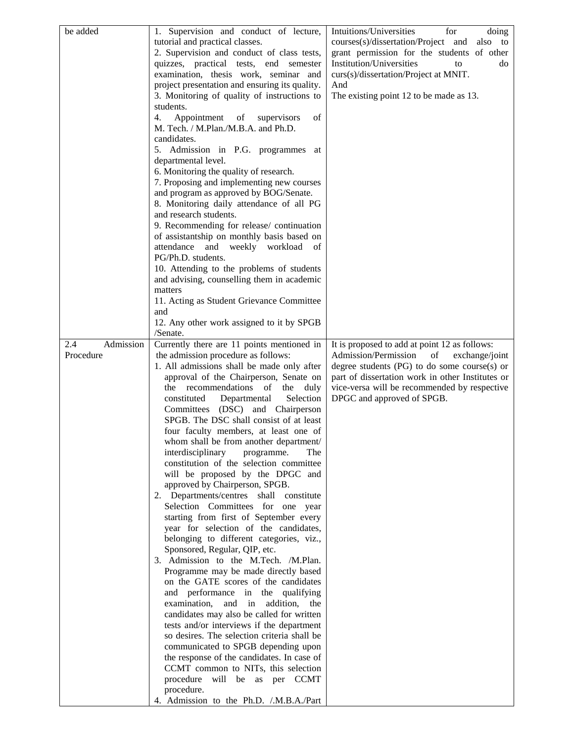| be added         | 1. Supervision and conduct of lecture,                                            | Intuitions/Universities<br>for<br>doing                                                           |
|------------------|-----------------------------------------------------------------------------------|---------------------------------------------------------------------------------------------------|
|                  | tutorial and practical classes.                                                   | courses(s)/dissertation/Project and<br>also to                                                    |
|                  | 2. Supervision and conduct of class tests,                                        | grant permission for the students of other                                                        |
|                  | quizzes, practical tests, end semester                                            | Institution/Universities<br>do<br>to                                                              |
|                  | examination, thesis work, seminar and                                             | curs(s)/dissertation/Project at MNIT.                                                             |
|                  | project presentation and ensuring its quality.                                    | And                                                                                               |
|                  | 3. Monitoring of quality of instructions to                                       | The existing point 12 to be made as 13.                                                           |
|                  | students.                                                                         |                                                                                                   |
|                  | Appointment<br>4.<br>of<br>supervisors<br>of                                      |                                                                                                   |
|                  | M. Tech. / M.Plan./M.B.A. and Ph.D.                                               |                                                                                                   |
|                  | candidates.                                                                       |                                                                                                   |
|                  | 5. Admission in P.G. programmes at                                                |                                                                                                   |
|                  | departmental level.<br>6. Monitoring the quality of research.                     |                                                                                                   |
|                  | 7. Proposing and implementing new courses                                         |                                                                                                   |
|                  | and program as approved by BOG/Senate.                                            |                                                                                                   |
|                  | 8. Monitoring daily attendance of all PG                                          |                                                                                                   |
|                  | and research students.                                                            |                                                                                                   |
|                  | 9. Recommending for release/ continuation                                         |                                                                                                   |
|                  | of assistantship on monthly basis based on                                        |                                                                                                   |
|                  | attendance and<br>weekly workload<br>of                                           |                                                                                                   |
|                  | PG/Ph.D. students.                                                                |                                                                                                   |
|                  | 10. Attending to the problems of students                                         |                                                                                                   |
|                  | and advising, counselling them in academic                                        |                                                                                                   |
|                  | matters                                                                           |                                                                                                   |
|                  | 11. Acting as Student Grievance Committee                                         |                                                                                                   |
|                  | and                                                                               |                                                                                                   |
|                  | 12. Any other work assigned to it by SPGB                                         |                                                                                                   |
|                  | /Senate.                                                                          |                                                                                                   |
| Admission<br>2.4 | Currently there are 11 points mentioned in                                        | It is proposed to add at point 12 as follows:                                                     |
| Procedure        | the admission procedure as follows:<br>1. All admissions shall be made only after | Admission/Permission<br>of<br>exchange/joint<br>degree students $(PG)$ to do some course $(s)$ or |
|                  | approval of the Chairperson, Senate on                                            | part of dissertation work in other Institutes or                                                  |
|                  | the recommendations of<br>the<br>duly                                             | vice-versa will be recommended by respective                                                      |
|                  | constituted<br>Departmental<br>Selection                                          | DPGC and approved of SPGB.                                                                        |
|                  | Committees (DSC) and Chairperson                                                  |                                                                                                   |
|                  | SPGB. The DSC shall consist of at least                                           |                                                                                                   |
|                  | four faculty members, at least one of                                             |                                                                                                   |
|                  | whom shall be from another department/                                            |                                                                                                   |
|                  | interdisciplinary<br>programme.<br>The                                            |                                                                                                   |
|                  | constitution of the selection committee                                           |                                                                                                   |
|                  | will be proposed by the DPGC and                                                  |                                                                                                   |
|                  | approved by Chairperson, SPGB.                                                    |                                                                                                   |
|                  | 2. Departments/centres shall constitute                                           |                                                                                                   |
|                  | Selection Committees for one year                                                 |                                                                                                   |
|                  | starting from first of September every                                            |                                                                                                   |
|                  | year for selection of the candidates,                                             |                                                                                                   |
|                  | belonging to different categories, viz.,                                          |                                                                                                   |
|                  | Sponsored, Regular, QIP, etc.<br>3. Admission to the M.Tech. /M.Plan.             |                                                                                                   |
|                  | Programme may be made directly based                                              |                                                                                                   |
|                  | on the GATE scores of the candidates                                              |                                                                                                   |
|                  | and performance in the qualifying                                                 |                                                                                                   |
|                  | examination,<br>and in addition,<br>the                                           |                                                                                                   |
|                  | candidates may also be called for written                                         |                                                                                                   |
|                  | tests and/or interviews if the department                                         |                                                                                                   |
|                  | so desires. The selection criteria shall be                                       |                                                                                                   |
|                  | communicated to SPGB depending upon                                               |                                                                                                   |
|                  | the response of the candidates. In case of                                        |                                                                                                   |
|                  | CCMT common to NITs, this selection                                               |                                                                                                   |
|                  | procedure<br>will be as per CCMT                                                  |                                                                                                   |
|                  | procedure.                                                                        |                                                                                                   |
|                  | 4. Admission to the Ph.D. /.M.B.A./Part                                           |                                                                                                   |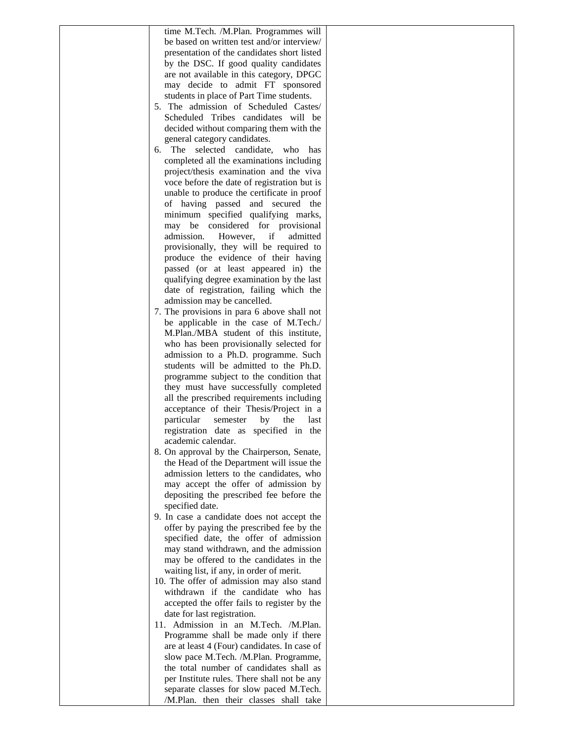| be based on written test and/or interview/<br>presentation of the candidates short listed<br>by the DSC. If good quality candidates |  |
|-------------------------------------------------------------------------------------------------------------------------------------|--|
|                                                                                                                                     |  |
|                                                                                                                                     |  |
|                                                                                                                                     |  |
| are not available in this category, DPGC                                                                                            |  |
| may decide to admit FT sponsored                                                                                                    |  |
| students in place of Part Time students.                                                                                            |  |
| 5. The admission of Scheduled Castes/                                                                                               |  |
| Scheduled Tribes candidates will be                                                                                                 |  |
| decided without comparing them with the                                                                                             |  |
| general category candidates.                                                                                                        |  |
| The selected candidate, who<br>6.<br>has                                                                                            |  |
| completed all the examinations including                                                                                            |  |
| project/thesis examination and the viva                                                                                             |  |
| voce before the date of registration but is                                                                                         |  |
| unable to produce the certificate in proof                                                                                          |  |
| of having passed and secured the                                                                                                    |  |
| minimum specified qualifying marks,                                                                                                 |  |
| may be considered for provisional                                                                                                   |  |
| admission.<br>However,<br>if<br>admitted                                                                                            |  |
| provisionally, they will be required to                                                                                             |  |
| produce the evidence of their having                                                                                                |  |
| passed (or at least appeared in) the                                                                                                |  |
| qualifying degree examination by the last                                                                                           |  |
| date of registration, failing which the                                                                                             |  |
| admission may be cancelled.                                                                                                         |  |
| 7. The provisions in para 6 above shall not                                                                                         |  |
| be applicable in the case of M.Tech./                                                                                               |  |
| M.Plan./MBA student of this institute,                                                                                              |  |
| who has been provisionally selected for                                                                                             |  |
| admission to a Ph.D. programme. Such                                                                                                |  |
| students will be admitted to the Ph.D.                                                                                              |  |
| programme subject to the condition that                                                                                             |  |
| they must have successfully completed                                                                                               |  |
| all the prescribed requirements including                                                                                           |  |
| acceptance of their Thesis/Project in a                                                                                             |  |
| particular<br>by<br>the<br>semester<br>last                                                                                         |  |
| registration date as specified in the                                                                                               |  |
| academic calendar.                                                                                                                  |  |
| 8. On approval by the Chairperson, Senate,                                                                                          |  |
| the Head of the Department will issue the                                                                                           |  |
| admission letters to the candidates, who                                                                                            |  |
| may accept the offer of admission by                                                                                                |  |
| depositing the prescribed fee before the                                                                                            |  |
| specified date.                                                                                                                     |  |
| 9. In case a candidate does not accept the                                                                                          |  |
| offer by paying the prescribed fee by the                                                                                           |  |
| specified date, the offer of admission                                                                                              |  |
| may stand withdrawn, and the admission                                                                                              |  |
| may be offered to the candidates in the                                                                                             |  |
| waiting list, if any, in order of merit.                                                                                            |  |
| 10. The offer of admission may also stand                                                                                           |  |
| withdrawn if the candidate who has                                                                                                  |  |
| accepted the offer fails to register by the                                                                                         |  |
| date for last registration.                                                                                                         |  |
| 11. Admission in an M.Tech. /M.Plan.                                                                                                |  |
| Programme shall be made only if there                                                                                               |  |
|                                                                                                                                     |  |
|                                                                                                                                     |  |
| are at least 4 (Four) candidates. In case of                                                                                        |  |
| slow pace M.Tech. /M.Plan. Programme,                                                                                               |  |
| the total number of candidates shall as                                                                                             |  |
| per Institute rules. There shall not be any<br>separate classes for slow paced M.Tech.                                              |  |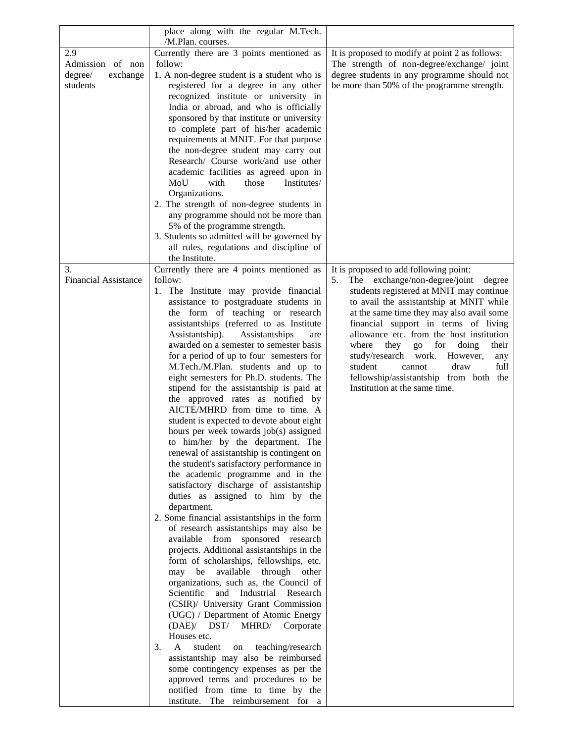|                                   | place along with the regular M.Tech.                                                |                                                                                            |
|-----------------------------------|-------------------------------------------------------------------------------------|--------------------------------------------------------------------------------------------|
|                                   | /M.Plan. courses.                                                                   |                                                                                            |
| 2.9                               | Currently there are 3 points mentioned as                                           | It is proposed to modify at point 2 as follows:                                            |
| Admission of non                  | follow:                                                                             | The strength of non-degree/exchange/ joint                                                 |
| degree/<br>exchange<br>students   | 1. A non-degree student is a student who is<br>registered for a degree in any other | degree students in any programme should not<br>be more than 50% of the programme strength. |
|                                   | recognized institute or university in                                               |                                                                                            |
|                                   | India or abroad, and who is officially                                              |                                                                                            |
|                                   | sponsored by that institute or university                                           |                                                                                            |
|                                   | to complete part of his/her academic                                                |                                                                                            |
|                                   | requirements at MNIT. For that purpose                                              |                                                                                            |
|                                   | the non-degree student may carry out                                                |                                                                                            |
|                                   | Research/ Course work/and use other                                                 |                                                                                            |
|                                   | academic facilities as agreed upon in                                               |                                                                                            |
|                                   | MoU<br>with<br>Institutes/<br>those                                                 |                                                                                            |
|                                   | Organizations.                                                                      |                                                                                            |
|                                   | 2. The strength of non-degree students in                                           |                                                                                            |
|                                   | any programme should not be more than                                               |                                                                                            |
|                                   | 5% of the programme strength.                                                       |                                                                                            |
|                                   | 3. Students so admitted will be governed by                                         |                                                                                            |
|                                   | all rules, regulations and discipline of                                            |                                                                                            |
|                                   | the Institute.                                                                      |                                                                                            |
| 3.<br><b>Financial Assistance</b> | Currently there are 4 points mentioned as<br>follow:                                | It is proposed to add following point:                                                     |
|                                   | 1. The Institute may provide financial                                              | The exchange/non-degree/joint<br>degree<br>5.<br>students registered at MNIT may continue  |
|                                   | assistance to postgraduate students in                                              | to avail the assistantship at MNIT while                                                   |
|                                   | the form of teaching or research                                                    | at the same time they may also avail some                                                  |
|                                   | assistantships (referred to as Institute                                            | financial support in terms of living                                                       |
|                                   | Assistantship).<br>Assistantships<br>are                                            | allowance etc. from the host institution                                                   |
|                                   | awarded on a semester to semester basis                                             | where<br>they<br>for<br>doing<br>their<br>go                                               |
|                                   | for a period of up to four semesters for                                            | study/research work.<br>However,<br>any                                                    |
|                                   | M.Tech./M.Plan. students and up to                                                  | student<br>draw<br>full<br>cannot                                                          |
|                                   | eight semesters for Ph.D. students. The                                             | fellowship/assistantship from both the                                                     |
|                                   | stipend for the assistantship is paid at                                            | Institution at the same time.                                                              |
|                                   | the approved rates as notified by                                                   |                                                                                            |
|                                   | AICTE/MHRD from time to time. A                                                     |                                                                                            |
|                                   | student is expected to devote about eight                                           |                                                                                            |
|                                   | hours per week towards job(s) assigned                                              |                                                                                            |
|                                   | to him/her by the department. The<br>renewal of assistantship is contingent on      |                                                                                            |
|                                   | the student's satisfactory performance in                                           |                                                                                            |
|                                   | the academic programme and in the                                                   |                                                                                            |
|                                   | satisfactory discharge of assistantship                                             |                                                                                            |
|                                   | duties as assigned to him by the                                                    |                                                                                            |
|                                   | department.                                                                         |                                                                                            |
|                                   | 2. Some financial assistantships in the form                                        |                                                                                            |
|                                   | of research assistantships may also be                                              |                                                                                            |
|                                   | from sponsored research<br>available                                                |                                                                                            |
|                                   | projects. Additional assistantships in the                                          |                                                                                            |
|                                   | form of scholarships, fellowships, etc.                                             |                                                                                            |
|                                   | available through other<br>may<br>be                                                |                                                                                            |
|                                   | organizations, such as, the Council of                                              |                                                                                            |
|                                   | Scientific<br>and Industrial Research                                               |                                                                                            |
|                                   | (CSIR)/ University Grant Commission<br>(UGC) / Department of Atomic Energy          |                                                                                            |
|                                   | (DAE)/ DST/ MHRD/ Corporate                                                         |                                                                                            |
|                                   | Houses etc.                                                                         |                                                                                            |
|                                   | student<br>3.<br>$\mathsf{A}$<br>teaching/research<br>on                            |                                                                                            |
|                                   | assistantship may also be reimbursed                                                |                                                                                            |
|                                   | some contingency expenses as per the                                                |                                                                                            |
|                                   | approved terms and procedures to be                                                 |                                                                                            |
|                                   | notified from time to time by the                                                   |                                                                                            |
|                                   | institute. The reimbursement for a                                                  |                                                                                            |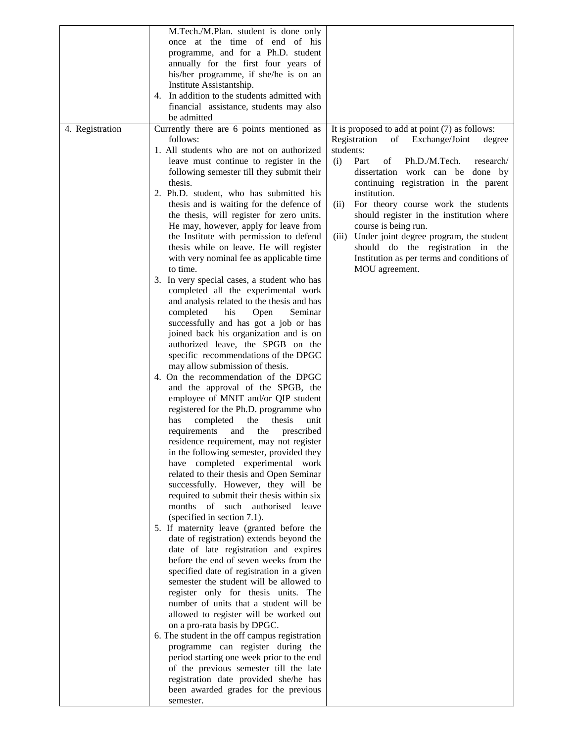|                 | M.Tech./M.Plan. student is done only                                            |                                                  |
|-----------------|---------------------------------------------------------------------------------|--------------------------------------------------|
|                 | once at the time of end of his                                                  |                                                  |
|                 | programme, and for a Ph.D. student                                              |                                                  |
|                 | annually for the first four years of                                            |                                                  |
|                 | his/her programme, if she/he is on an                                           |                                                  |
|                 | Institute Assistantship.                                                        |                                                  |
|                 | 4. In addition to the students admitted with                                    |                                                  |
|                 | financial assistance, students may also                                         |                                                  |
|                 | be admitted                                                                     |                                                  |
| 4. Registration | Currently there are 6 points mentioned as                                       | It is proposed to add at point (7) as follows:   |
|                 | follows:                                                                        | Registration<br>Exchange/Joint<br>of<br>degree   |
|                 | 1. All students who are not on authorized                                       | students:                                        |
|                 | leave must continue to register in the                                          | Ph.D./M.Tech.<br>(i)<br>Part<br>of<br>research/  |
|                 | following semester till they submit their                                       | dissertation work can be done by                 |
|                 | thesis.                                                                         | continuing registration in the parent            |
|                 | 2. Ph.D. student, who has submitted his                                         | institution.                                     |
|                 | thesis and is waiting for the defence of                                        | For theory course work the students<br>(ii)      |
|                 | the thesis, will register for zero units.                                       | should register in the institution where         |
|                 | He may, however, apply for leave from                                           | course is being run.                             |
|                 | the Institute with permission to defend                                         | Under joint degree program, the student<br>(iii) |
|                 | thesis while on leave. He will register                                         | should do the registration in the                |
|                 | with very nominal fee as applicable time                                        | Institution as per terms and conditions of       |
|                 | to time.                                                                        | MOU agreement.                                   |
|                 | 3. In very special cases, a student who has                                     |                                                  |
|                 | completed all the experimental work                                             |                                                  |
|                 | and analysis related to the thesis and has                                      |                                                  |
|                 | his<br>completed<br>Open<br>Seminar                                             |                                                  |
|                 | successfully and has got a job or has                                           |                                                  |
|                 | joined back his organization and is on                                          |                                                  |
|                 | authorized leave, the SPGB on the                                               |                                                  |
|                 | specific recommendations of the DPGC                                            |                                                  |
|                 | may allow submission of thesis.                                                 |                                                  |
|                 | 4. On the recommendation of the DPGC                                            |                                                  |
|                 | and the approval of the SPGB, the                                               |                                                  |
|                 | employee of MNIT and/or QIP student                                             |                                                  |
|                 | registered for the Ph.D. programme who                                          |                                                  |
|                 | has<br>completed<br>the<br>thesis<br>unit                                       |                                                  |
|                 | and<br>the<br>requirements<br>prescribed                                        |                                                  |
|                 | residence requirement, may not register                                         |                                                  |
|                 | in the following semester, provided they                                        |                                                  |
|                 | have completed experimental work                                                |                                                  |
|                 | related to their thesis and Open Seminar<br>successfully. However, they will be |                                                  |
|                 | required to submit their thesis within six                                      |                                                  |
|                 | months of such authorised leave                                                 |                                                  |
|                 | (specified in section 7.1).                                                     |                                                  |
|                 | 5. If maternity leave (granted before the                                       |                                                  |
|                 | date of registration) extends beyond the                                        |                                                  |
|                 | date of late registration and expires                                           |                                                  |
|                 | before the end of seven weeks from the                                          |                                                  |
|                 | specified date of registration in a given                                       |                                                  |
|                 | semester the student will be allowed to                                         |                                                  |
|                 | register only for thesis units. The                                             |                                                  |
|                 | number of units that a student will be                                          |                                                  |
|                 | allowed to register will be worked out                                          |                                                  |
|                 | on a pro-rata basis by DPGC.                                                    |                                                  |
|                 | 6. The student in the off campus registration                                   |                                                  |
|                 | programme can register during the                                               |                                                  |
|                 | period starting one week prior to the end                                       |                                                  |
|                 | of the previous semester till the late                                          |                                                  |
|                 | registration date provided she/he has                                           |                                                  |
|                 | been awarded grades for the previous                                            |                                                  |
|                 | semester.                                                                       |                                                  |
|                 |                                                                                 |                                                  |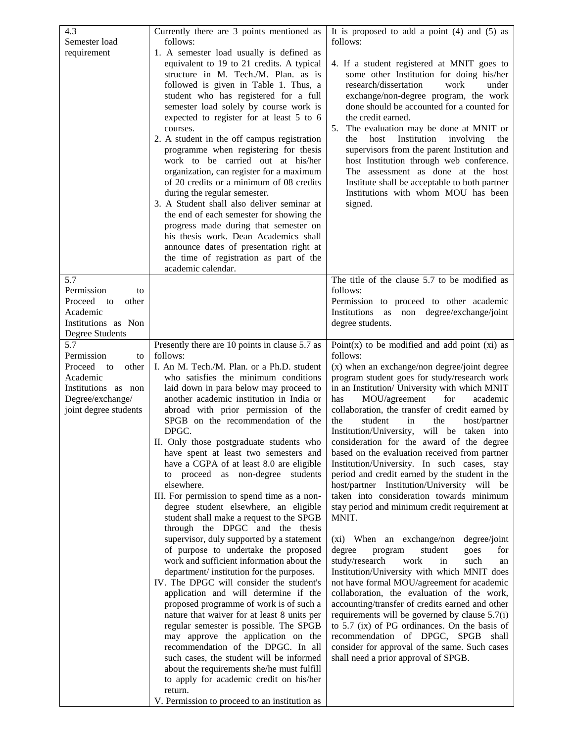| 4.3                                       | Currently there are 3 points mentioned as                                              | It is proposed to add a point $(4)$ and $(5)$ as                                              |
|-------------------------------------------|----------------------------------------------------------------------------------------|-----------------------------------------------------------------------------------------------|
| Semester load                             | follows:                                                                               | follows:                                                                                      |
| requirement                               | 1. A semester load usually is defined as                                               |                                                                                               |
|                                           | equivalent to 19 to 21 credits. A typical                                              | 4. If a student registered at MNIT goes to                                                    |
|                                           | structure in M. Tech./M. Plan. as is                                                   | some other Institution for doing his/her                                                      |
|                                           | followed is given in Table 1. Thus, a                                                  | research/dissertation<br>work<br>under                                                        |
|                                           | student who has registered for a full<br>semester load solely by course work is        | exchange/non-degree program, the work<br>done should be accounted for a counted for           |
|                                           | expected to register for at least 5 to 6                                               | the credit earned.                                                                            |
|                                           | courses.                                                                               | The evaluation may be done at MNIT or<br>5.                                                   |
|                                           | 2. A student in the off campus registration                                            | Institution<br>involving<br>the<br>host<br>the                                                |
|                                           | programme when registering for thesis                                                  | supervisors from the parent Institution and                                                   |
|                                           | work to be carried out at his/her                                                      | host Institution through web conference.                                                      |
|                                           | organization, can register for a maximum                                               | The assessment as done at the host                                                            |
|                                           | of 20 credits or a minimum of 08 credits                                               | Institute shall be acceptable to both partner                                                 |
|                                           | during the regular semester.                                                           | Institutions with whom MOU has been                                                           |
|                                           | 3. A Student shall also deliver seminar at<br>the end of each semester for showing the | signed.                                                                                       |
|                                           | progress made during that semester on                                                  |                                                                                               |
|                                           | his thesis work. Dean Academics shall                                                  |                                                                                               |
|                                           | announce dates of presentation right at                                                |                                                                                               |
|                                           | the time of registration as part of the                                                |                                                                                               |
|                                           | academic calendar.                                                                     |                                                                                               |
| 5.7                                       |                                                                                        | The title of the clause 5.7 to be modified as                                                 |
| Permission<br>to                          |                                                                                        | follows:                                                                                      |
| Proceed<br>other<br>to                    |                                                                                        | Permission to proceed to other academic                                                       |
| Academic<br>Institutions as Non           |                                                                                        | non degree/exchange/joint<br>Institutions<br>as<br>degree students.                           |
| Degree Students                           |                                                                                        |                                                                                               |
| 5.7                                       | Presently there are 10 points in clause 5.7 as                                         | Point $(x)$ to be modified and add point $(xi)$ as                                            |
| Permission<br>to                          | follows:                                                                               | follows:                                                                                      |
| Proceed<br>other<br>to                    | I. An M. Tech./M. Plan. or a Ph.D. student                                             | (x) when an exchange/non degree/joint degree                                                  |
| Academic                                  | who satisfies the minimum conditions                                                   | program student goes for study/research work                                                  |
| Institutions as non                       | laid down in para below may proceed to                                                 | in an Institution/ University with which MNIT                                                 |
| Degree/exchange/<br>joint degree students | another academic institution in India or<br>abroad with prior permission of the        | MOU/agreement<br>for<br>academic<br>has<br>collaboration, the transfer of credit earned by    |
|                                           | SPGB on the recommendation of the                                                      | the<br>student<br>host/partner<br>in<br>the                                                   |
|                                           | DPGC.                                                                                  | will be taken into<br>Institution/University,                                                 |
|                                           | II. Only those postgraduate students who                                               | consideration for the award of the degree                                                     |
|                                           | have spent at least two semesters and                                                  | based on the evaluation received from partner                                                 |
|                                           | have a CGPA of at least 8.0 are eligible                                               | Institution/University. In such cases, stay                                                   |
|                                           | to proceed as non-degree<br>students                                                   | period and credit earned by the student in the                                                |
|                                           | elsewhere.                                                                             | host/partner Institution/University will be                                                   |
|                                           | III. For permission to spend time as a non-                                            | taken into consideration towards minimum                                                      |
|                                           | degree student elsewhere, an eligible<br>student shall make a request to the SPGB      | stay period and minimum credit requirement at<br>MNIT.                                        |
|                                           | through the DPGC and the thesis                                                        |                                                                                               |
|                                           | supervisor, duly supported by a statement                                              | (xi) When an exchange/non degree/joint                                                        |
|                                           | of purpose to undertake the proposed                                                   | student<br>degree<br>program<br>goes<br>for                                                   |
|                                           | work and sufficient information about the                                              | study/research<br>work<br>such<br>in<br>an                                                    |
|                                           | department/ institution for the purposes.                                              | Institution/University with which MNIT does                                                   |
|                                           | IV. The DPGC will consider the student's                                               | not have formal MOU/agreement for academic                                                    |
|                                           | application and will determine if the<br>proposed programme of work is of such a       | collaboration, the evaluation of the work,<br>accounting/transfer of credits earned and other |
|                                           | nature that waiver for at least 8 units per                                            | requirements will be governed by clause $5.7(i)$                                              |
|                                           | regular semester is possible. The SPGB                                                 | to 5.7 (ix) of PG ordinances. On the basis of                                                 |
|                                           | may approve the application on the                                                     | recommendation of DPGC, SPGB<br>shall                                                         |
|                                           | recommendation of the DPGC. In all                                                     | consider for approval of the same. Such cases                                                 |
|                                           | such cases, the student will be informed                                               | shall need a prior approval of SPGB.                                                          |
|                                           | about the requirements she/he must fulfill                                             |                                                                                               |
|                                           | to apply for academic credit on his/her<br>return.                                     |                                                                                               |
|                                           | V. Permission to proceed to an institution as                                          |                                                                                               |
|                                           |                                                                                        |                                                                                               |